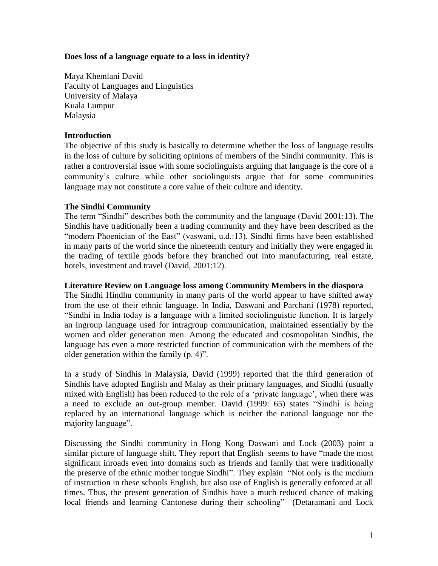## **Does loss of a language equate to a loss in identity?**

Maya Khemlani David Faculty of Languages and Linguistics University of Malaya Kuala Lumpur Malaysia

### **Introduction**

The objective of this study is basically to determine whether the loss of language results in the loss of culture by soliciting opinions of members of the Sindhi community. This is rather a controversial issue with some sociolinguists arguing that language is the core of a community's culture while other sociolinguists argue that for some communities language may not constitute a core value of their culture and identity.

### **The Sindhi Community**

The term "Sindhi" describes both the community and the language (David 2001:13). The Sindhis have traditionally been a trading community and they have been described as the "modern Phoenician of the East" (vaswani, u.d.:13). Sindhi firms have been established in many parts of the world since the nineteenth century and initially they were engaged in the trading of textile goods before they branched out into manufacturing, real estate, hotels, investment and travel (David, 2001:12).

### **Literature Review on Language loss among Community Members in the diaspora**

The Sindhi Hindhu community in many parts of the world appear to have shifted away from the use of their ethnic language. In India, Daswani and Parchani (1978) reported, "Sindhi in India today is a language with a limited sociolinguistic function. It is largely an ingroup language used for intragroup communication, maintained essentially by the women and older generation men. Among the educated and cosmopolitan Sindhis, the language has even a more restricted function of communication with the members of the older generation within the family (p. 4)".

In a study of Sindhis in Malaysia, David (1999) reported that the third generation of Sindhis have adopted English and Malay as their primary languages, and Sindhi (usually mixed with English) has been reduced to the role of a 'private language', when there was a need to exclude an out-group member. David (1999: 65) states "Sindhi is being replaced by an international language which is neither the national language nor the majority language".

Discussing the Sindhi community in Hong Kong Daswani and Lock (2003) paint a similar picture of language shift. They report that English seems to have "made the most significant inroads even into domains such as friends and family that were traditionally the preserve of the ethnic mother tongue Sindhi". They explain "Not only is the medium of instruction in these schools English, but also use of English is generally enforced at all times. Thus, the present generation of Sindhis have a much reduced chance of making local friends and learning Cantonese during their schooling" (Detaramani and Lock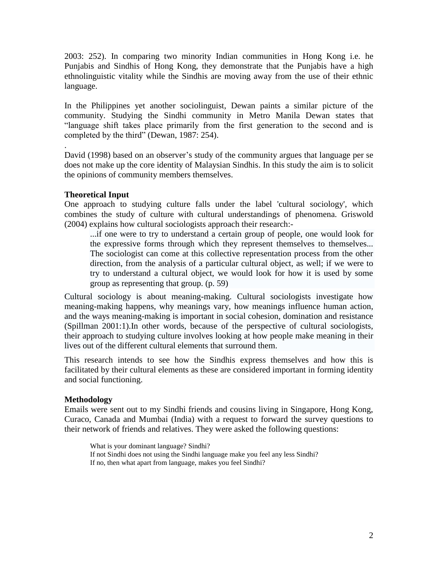2003: 252). In comparing two minority Indian communities in Hong Kong i.e. he Punjabis and Sindhis of Hong Kong, they demonstrate that the Punjabis have a high ethnolinguistic vitality while the Sindhis are moving away from the use of their ethnic language.

In the Philippines yet another sociolinguist, Dewan paints a similar picture of the community. Studying the Sindhi community in Metro Manila Dewan states that "language shift takes place primarily from the first generation to the second and is completed by the third" (Dewan, 1987: 254).

David (1998) based on an observer's study of the community argues that language per se does not make up the core identity of Malaysian Sindhis. In this study the aim is to solicit the opinions of community members themselves.

# **Theoretical Input**

.

One approach to studying culture falls under the label 'cultural sociology', which combines the study of culture with cultural understandings of phenomena. Griswold (2004) explains how cultural sociologists approach their research:-

...if one were to try to understand a certain group of people, one would look for the expressive forms through which they represent themselves to themselves... The sociologist can come at this collective representation process from the other direction, from the analysis of a particular cultural object, as well; if we were to try to understand a cultural object, we would look for how it is used by some group as representing that group. (p. 59)

Cultural sociology is about meaning-making. Cultural sociologists investigate how meaning-making happens, why meanings vary, how meanings influence human action, and the ways meaning-making is important in social cohesion, domination and resistance (Spillman 2001:1).In other words, because of the perspective of cultural sociologists, their approach to studying culture involves looking at how people make meaning in their lives out of the different cultural elements that surround them.

This research intends to see how the Sindhis express themselves and how this is facilitated by their cultural elements as these are considered important in forming identity and social functioning.

# **Methodology**

Emails were sent out to my Sindhi friends and cousins living in Singapore, Hong Kong, Curaco, Canada and Mumbai (India) with a request to forward the survey questions to their network of friends and relatives. They were asked the following questions:

What is your dominant language? Sindhi? If not Sindhi does not using the Sindhi language make you feel any less Sindhi? If no, then what apart from language, makes you feel Sindhi?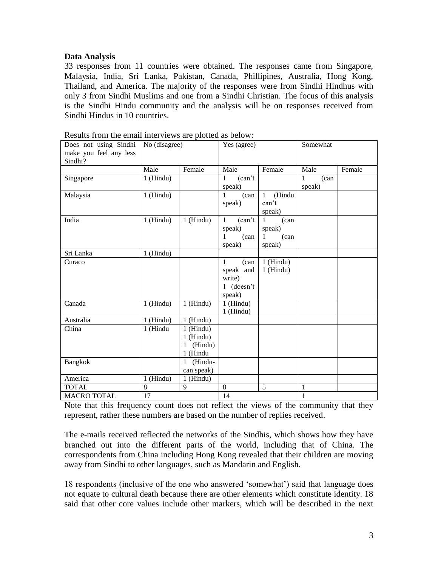## **Data Analysis**

33 responses from 11 countries were obtained. The responses came from Singapore, Malaysia, India, Sri Lanka, Pakistan, Canada, Phillipines, Australia, Hong Kong, Thailand, and America. The majority of the responses were from Sindhi Hindhus with only 3 from Sindhi Muslims and one from a Sindhi Christian. The focus of this analysis is the Sindhi Hindu community and the analysis will be on responses received from Sindhi Hindus in 10 countries.

| Does not using Sindhi<br>make you feel any less<br>Sindhi? | No (disagree)          |                                                        | Yes (agree)                                                |                                                        | Somewhat            |        |
|------------------------------------------------------------|------------------------|--------------------------------------------------------|------------------------------------------------------------|--------------------------------------------------------|---------------------|--------|
|                                                            | Male                   | Female                                                 | Male                                                       | Female                                                 | Male                | Female |
| Singapore                                                  | $1$ (Hindu)            |                                                        | (can't)<br>1<br>speak)                                     |                                                        | 1<br>(can<br>speak) |        |
| Malaysia                                                   | $1$ (Hindu)            |                                                        | 1<br>(can<br>speak)                                        | $\overline{H}$ indu<br>$\mathbf{1}$<br>can't<br>speak) |                     |        |
| India                                                      | $1$ (Hindu)            | $1$ (Hindu)                                            | (can't)<br>$\mathbf{1}$<br>speak)<br>1<br>(can<br>speak)   | (can<br>1<br>speak)<br>(can<br>$\mathbf{1}$<br>speak)  |                     |        |
| Sri Lanka                                                  | $1$ (Hindu)            |                                                        |                                                            |                                                        |                     |        |
| Curaco                                                     |                        |                                                        | (can<br>1<br>speak and<br>write)<br>$1$ (doesn't<br>speak) | $1$ (Hindu)<br>$1$ (Hindu)                             |                     |        |
| Canada                                                     | $1$ (Hindu)            | 1 (Hindu)                                              | $1$ (Hindu)<br>1 (Hindu)                                   |                                                        |                     |        |
| Australia                                                  | $\overline{1}$ (Hindu) | 1 (Hindu)                                              |                                                            |                                                        |                     |        |
| China                                                      | 1 (Hindu               | $1$ (Hindu)<br>$1$ (Hindu)<br>(Hindu)<br>1<br>1 (Hindu |                                                            |                                                        |                     |        |
| <b>Bangkok</b>                                             |                        | (Hindu-<br>$\mathbf{1}$<br>can speak)                  |                                                            |                                                        |                     |        |
| America                                                    | $1$ (Hindu)            | $1$ (Hindu)                                            |                                                            |                                                        |                     |        |
| <b>TOTAL</b>                                               | $\overline{8}$         | 9                                                      | 8                                                          | 5                                                      | 1                   |        |
| <b>MACRO TOTAL</b>                                         | 17                     |                                                        | 14                                                         |                                                        | 1                   |        |

Results from the email interviews are plotted as below:

Note that this frequency count does not reflect the views of the community that they represent, rather these numbers are based on the number of replies received.

The e-mails received reflected the networks of the Sindhis, which shows how they have branched out into the different parts of the world, including that of China. The correspondents from China including Hong Kong revealed that their children are moving away from Sindhi to other languages, such as Mandarin and English.

18 respondents (inclusive of the one who answered 'somewhat') said that language does not equate to cultural death because there are other elements which constitute identity. 18 said that other core values include other markers, which will be described in the next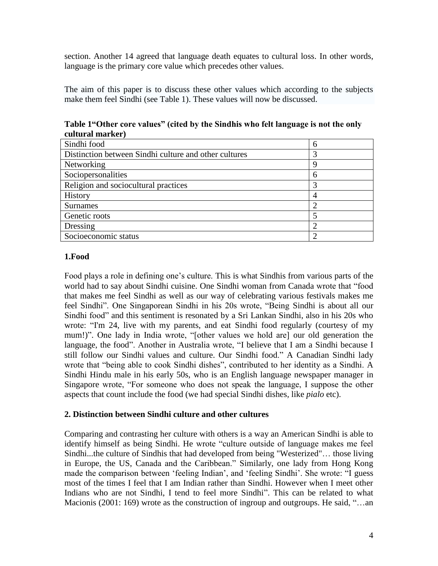section. Another 14 agreed that language death equates to cultural loss. In other words, language is the primary core value which precedes other values.

The aim of this paper is to discuss these other values which according to the subjects make them feel Sindhi (see Table 1). These values will now be discussed.

| cuicui ainni nCi /                                    |   |
|-------------------------------------------------------|---|
| Sindhi food                                           | h |
| Distinction between Sindhi culture and other cultures |   |
| Networking                                            | 9 |
| Sociopersonalities                                    | h |
| Religion and sociocultural practices                  |   |
| History                                               |   |
| <b>Surnames</b>                                       |   |
| Genetic roots                                         |   |
| Dressing                                              |   |
| Socioeconomic status                                  |   |

**Table 1"Other core values" (cited by the Sindhis who felt language is not the only cultural marker)** 

## **1.Food**

Food plays a role in defining one's culture. This is what Sindhis from various parts of the world had to say about Sindhi cuisine. One Sindhi woman from Canada wrote that "food that makes me feel Sindhi as well as our way of celebrating various festivals makes me feel Sindhi". One Singaporean Sindhi in his 20s wrote, "Being Sindhi is about all our Sindhi food" and this sentiment is resonated by a Sri Lankan Sindhi, also in his 20s who wrote: "I'm 24, live with my parents, and eat Sindhi food regularly (courtesy of my mum!)". One lady in India wrote, "[other values we hold are] our old generation the language, the food". Another in Australia wrote, "I believe that I am a Sindhi because I still follow our Sindhi values and culture. Our Sindhi food." A Canadian Sindhi lady wrote that "being able to cook Sindhi dishes", contributed to her identity as a Sindhi. A Sindhi Hindu male in his early 50s, who is an English language newspaper manager in Singapore wrote, "For someone who does not speak the language, I suppose the other aspects that count include the food (we had special Sindhi dishes*,* like *pialo* etc).

# **2. Distinction between Sindhi culture and other cultures**

Comparing and contrasting her culture with others is a way an American Sindhi is able to identify himself as being Sindhi. He wrote "culture outside of language makes me feel Sindhi...the culture of Sindhis that had developed from being "Westerized"… those living in Europe, the US, Canada and the Caribbean." Similarly, one lady from Hong Kong made the comparison between 'feeling Indian', and 'feeling Sindhi'. She wrote: "I guess most of the times I feel that I am Indian rather than Sindhi. However when I meet other Indians who are not Sindhi, I tend to feel more Sindhi". This can be related to what Macionis (2001: 169) wrote as the construction of ingroup and outgroups. He said, "...an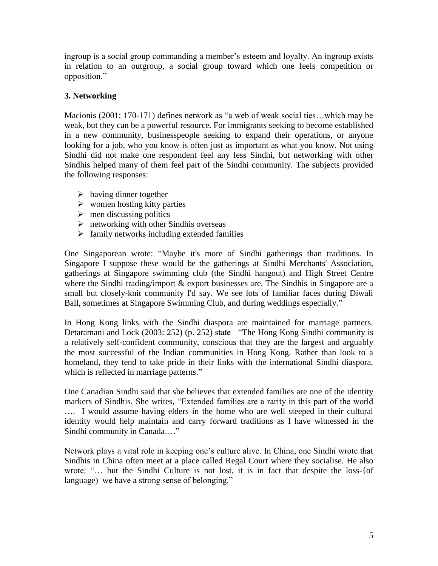ingroup is a social group commanding a member's esteem and loyalty. An ingroup exists in relation to an outgroup, a social group toward which one feels competition or opposition."

# **3. Networking**

Macionis (2001: 170-171) defines network as "a web of weak social ties…which may be weak, but they can be a powerful resource. For immigrants seeking to become established in a new community, businesspeople seeking to expand their operations, or anyone looking for a job, who you know is often just as important as what you know. Not using Sindhi did not make one respondent feel any less Sindhi, but networking with other Sindhis helped many of them feel part of the Sindhi community. The subjects provided the following responses:

- $\triangleright$  having dinner together
- $\triangleright$  women hosting kitty parties
- $\triangleright$  men discussing politics
- $\triangleright$  networking with other Sindhis overseas
- $\triangleright$  family networks including extended families

One Singaporean wrote: "Maybe it's more of Sindhi gatherings than traditions. In Singapore I suppose these would be the gatherings at Sindhi Merchants' Association, gatherings at Singapore swimming club (the Sindhi hangout) and High Street Centre where the Sindhi trading/import & export businesses are. The Sindhis in Singapore are a small but closely-knit community I'd say. We see lots of familiar faces during Diwali Ball, sometimes at Singapore Swimming Club, and during weddings especially."

In Hong Kong links with the Sindhi diaspora are maintained for marriage partners. Detaramani and Lock (2003: 252) (p. 252) state "The Hong Kong Sindhi community is a relatively self-confident community, conscious that they are the largest and arguably the most successful of the Indian communities in Hong Kong. Rather than look to a homeland, they tend to take pride in their links with the international Sindhi diaspora, which is reflected in marriage patterns."

One Canadian Sindhi said that she believes that extended families are one of the identity markers of Sindhis. She writes, "Extended families are a rarity in this part of the world …. I would assume having elders in the home who are well steeped in their cultural identity would help maintain and carry forward traditions as I have witnessed in the Sindhi community in Canada…."

Network plays a vital role in keeping one's culture alive. In China, one Sindhi wrote that Sindhis in China often meet at a place called Regal Court where they socialise. He also wrote: "… but the Sindhi Culture is not lost, it is in fact that despite the loss-{of language) we have a strong sense of belonging."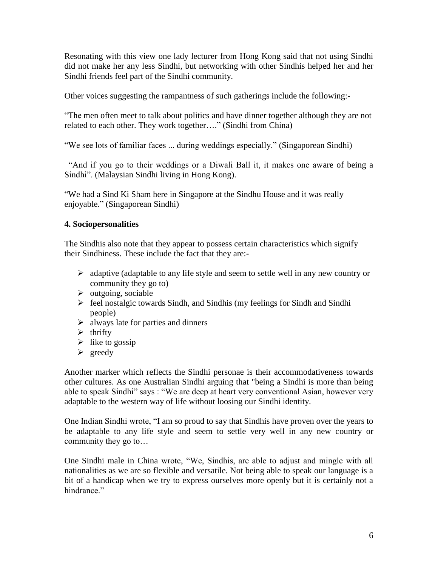Resonating with this view one lady lecturer from Hong Kong said that not using Sindhi did not make her any less Sindhi, but networking with other Sindhis helped her and her Sindhi friends feel part of the Sindhi community.

Other voices suggesting the rampantness of such gatherings include the following:-

"The men often meet to talk about politics and have dinner together although they are not related to each other. They work together…." (Sindhi from China)

"We see lots of familiar faces ... during weddings especially." (Singaporean Sindhi)

 "And if you go to their weddings or a Diwali Ball it, it makes one aware of being a Sindhi". (Malaysian Sindhi living in Hong Kong).

"We had a Sind Ki Sham here in Singapore at the Sindhu House and it was really enjoyable." (Singaporean Sindhi)

# **4. Sociopersonalities**

The Sindhis also note that they appear to possess certain characteristics which signify their Sindhiness. These include the fact that they are:-

- $\triangleright$  adaptive (adaptable to any life style and seem to settle well in any new country or community they go to)
- $\triangleright$  outgoing, sociable
- $\triangleright$  feel nostalgic towards Sindh, and Sindhis (my feelings for Sindh and Sindhi people)
- $\triangleright$  always late for parties and dinners
- $\triangleright$  thrifty
- $\triangleright$  like to gossip
- $\triangleright$  greedy

Another marker which reflects the Sindhi personae is their accommodativeness towards other cultures. As one Australian Sindhi arguing that "being a Sindhi is more than being able to speak Sindhi" says : "We are deep at heart very conventional Asian, however very adaptable to the western way of life without loosing our Sindhi identity.

One Indian Sindhi wrote, "I am so proud to say that Sindhis have proven over the years to be adaptable to any life style and seem to settle very well in any new country or community they go to…

One Sindhi male in China wrote, "We, Sindhis, are able to adjust and mingle with all nationalities as we are so flexible and versatile. Not being able to speak our language is a bit of a handicap when we try to express ourselves more openly but it is certainly not a hindrance"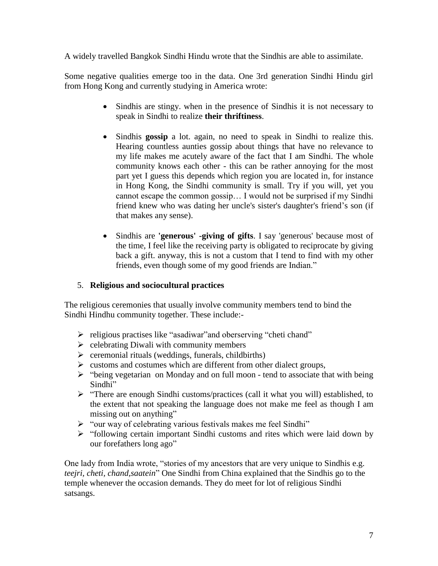A widely travelled Bangkok Sindhi Hindu wrote that the Sindhis are able to assimilate.

Some negative qualities emerge too in the data. One 3rd generation Sindhi Hindu girl from Hong Kong and currently studying in America wrote:

- Sindhis are stingy, when in the presence of Sindhis it is not necessary to speak in Sindhi to realize **their thriftiness**.
- Sindhis **gossip** a lot. again, no need to speak in Sindhi to realize this. Hearing countless aunties gossip about things that have no relevance to my life makes me acutely aware of the fact that I am Sindhi. The whole community knows each other - this can be rather annoying for the most part yet I guess this depends which region you are located in, for instance in Hong Kong, the Sindhi community is small. Try if you will, yet you cannot escape the common gossip… I would not be surprised if my Sindhi friend knew who was dating her uncle's sister's daughter's friend's son (if that makes any sense).
- Sindhis are **'generous' -giving of gifts**. I say 'generous' because most of the time, I feel like the receiving party is obligated to reciprocate by giving back a gift. anyway, this is not a custom that I tend to find with my other friends, even though some of my good friends are Indian."

# 5. **Religious and sociocultural practices**

The religious ceremonies that usually involve community members tend to bind the Sindhi Hindhu community together. These include:-

- $\triangleright$  religious practises like "asadiwar" and oberserving "cheti chand"
- $\triangleright$  celebrating Diwali with community members
- $\triangleright$  ceremonial rituals (weddings, funerals, childbirths)
- $\triangleright$  customs and costumes which are different from other dialect groups,
- > "being vegetarian on Monday and on full moon tend to associate that with being Sindhi"
- "There are enough Sindhi customs/practices (call it what you will) established, to the extent that not speaking the language does not make me feel as though I am missing out on anything"
- $\triangleright$  "our way of celebrating various festivals makes me feel Sindhi"
- "following certain important Sindhi customs and rites which were laid down by our forefathers long ago"

One lady from India wrote, "stories of my ancestors that are very unique to Sindhis e.g. *teejri, cheti, chand,saatein*" One Sindhi from China explained that the Sindhis go to the temple whenever the occasion demands. They do meet for lot of religious Sindhi satsangs.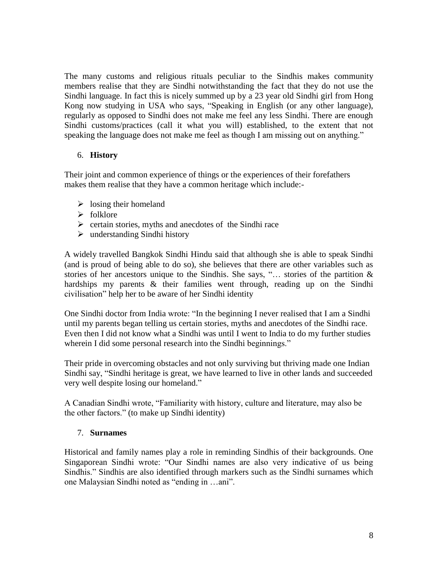The many customs and religious rituals peculiar to the Sindhis makes community members realise that they are Sindhi notwithstanding the fact that they do not use the Sindhi language. In fact this is nicely summed up by a 23 year old Sindhi girl from Hong Kong now studying in USA who says, "Speaking in English (or any other language), regularly as opposed to Sindhi does not make me feel any less Sindhi. There are enough Sindhi customs/practices (call it what you will) established, to the extent that not speaking the language does not make me feel as though I am missing out on anything."

# 6. **History**

Their joint and common experience of things or the experiences of their forefathers makes them realise that they have a common heritage which include:-

- $\triangleright$  losing their homeland
- $\triangleright$  folklore
- $\triangleright$  certain stories, myths and anecdotes of the Sindhi race
- $\triangleright$  understanding Sindhi history

A widely travelled Bangkok Sindhi Hindu said that although she is able to speak Sindhi (and is proud of being able to do so), she believes that there are other variables such as stories of her ancestors unique to the Sindhis. She says, "… stories of the partition & hardships my parents & their families went through, reading up on the Sindhi civilisation" help her to be aware of her Sindhi identity

One Sindhi doctor from India wrote: "In the beginning I never realised that I am a Sindhi until my parents began telling us certain stories, myths and anecdotes of the Sindhi race. Even then I did not know what a Sindhi was until I went to India to do my further studies wherein I did some personal research into the Sindhi beginnings."

Their pride in overcoming obstacles and not only surviving but thriving made one Indian Sindhi say, "Sindhi heritage is great, we have learned to live in other lands and succeeded very well despite losing our homeland."

A Canadian Sindhi wrote, "Familiarity with history, culture and literature, may also be the other factors." (to make up Sindhi identity)

# 7. **Surnames**

Historical and family names play a role in reminding Sindhis of their backgrounds. One Singaporean Sindhi wrote: "Our Sindhi names are also very indicative of us being Sindhis." Sindhis are also identified through markers such as the Sindhi surnames which one Malaysian Sindhi noted as "ending in …ani".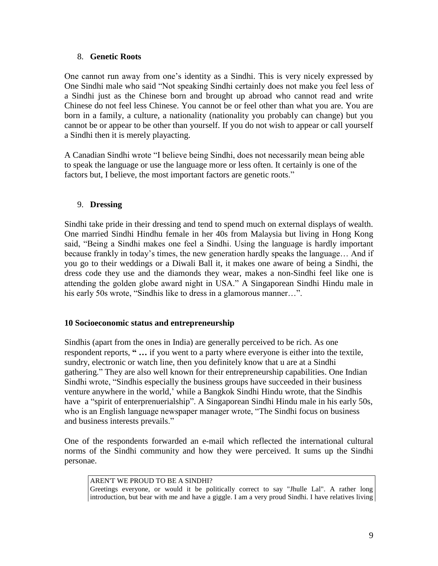## 8. **Genetic Roots**

One cannot run away from one's identity as a Sindhi. This is very nicely expressed by One Sindhi male who said "Not speaking Sindhi certainly does not make you feel less of a Sindhi just as the Chinese born and brought up abroad who cannot read and write Chinese do not feel less Chinese. You cannot be or feel other than what you are. You are born in a family, a culture, a nationality (nationality you probably can change) but you cannot be or appear to be other than yourself. If you do not wish to appear or call yourself a Sindhi then it is merely playacting.

A Canadian Sindhi wrote "I believe being Sindhi, does not necessarily mean being able to speak the language or use the language more or less often. It certainly is one of the factors but, I believe, the most important factors are genetic roots."

## 9. **Dressing**

Sindhi take pride in their dressing and tend to spend much on external displays of wealth. One married Sindhi Hindhu female in her 40s from Malaysia but living in Hong Kong said, "Being a Sindhi makes one feel a Sindhi. Using the language is hardly important because frankly in today's times, the new generation hardly speaks the language… And if you go to their weddings or a Diwali Ball it, it makes one aware of being a Sindhi, the dress code they use and the diamonds they wear, makes a non-Sindhi feel like one is attending the golden globe award night in USA." A Singaporean Sindhi Hindu male in his early 50s wrote, "Sindhis like to dress in a glamorous manner...".

## **10 Socioeconomic status and entrepreneurship**

Sindhis (apart from the ones in India) are generally perceived to be rich. As one respondent reports, **" …** if you went to a party where everyone is either into the textile, sundry, electronic or watch line, then you definitely know that u are at a Sindhi gathering." They are also well known for their entrepreneurship capabilities. One Indian Sindhi wrote, "Sindhis especially the business groups have succeeded in their business venture anywhere in the world,' while a Bangkok Sindhi Hindu wrote, that the Sindhis have a "spirit of enterprenuerialship". A Singaporean Sindhi Hindu male in his early 50s, who is an English language newspaper manager wrote, "The Sindhi focus on business and business interests prevails."

One of the respondents forwarded an e-mail which reflected the international cultural norms of the Sindhi community and how they were perceived. It sums up the Sindhi personae.

#### AREN'T WE PROUD TO BE A SINDHI? Greetings everyone, or would it be politically correct to say "Jhulle Lal". A rather long introduction, but bear with me and have a giggle. I am a very proud Sindhi. I have relatives living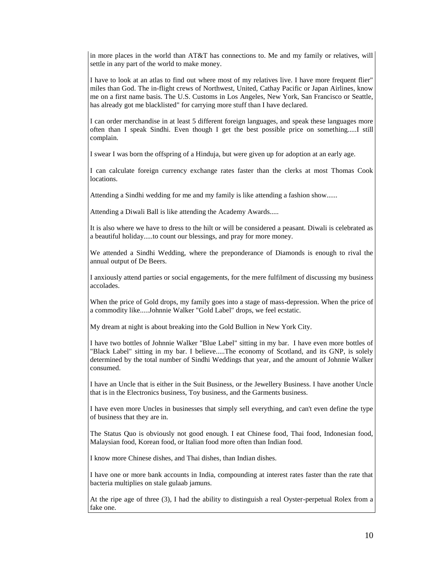in more places in the world than AT&T has connections to. Me and my family or relatives, will settle in any part of the world to make money.

I have to look at an atlas to find out where most of my relatives live. I have more frequent flier" miles than God. The in-flight crews of Northwest, United, Cathay Pacific or Japan Airlines, know me on a first name basis. The U.S. Customs in Los Angeles, New York, San Francisco or Seattle, has already got me blacklisted" for carrying more stuff than I have declared.

I can order merchandise in at least 5 different foreign languages, and speak these languages more often than I speak Sindhi. Even though I get the best possible price on something.....I still complain.

I swear I was born the offspring of a Hinduja, but were given up for adoption at an early age.

I can calculate foreign currency exchange rates faster than the clerks at most Thomas Cook locations.

Attending a Sindhi wedding for me and my family is like attending a fashion show......

Attending a Diwali Ball is like attending the Academy Awards.....

It is also where we have to dress to the hilt or will be considered a peasant. Diwali is celebrated as a beautiful holiday.....to count our blessings, and pray for more money.

We attended a Sindhi Wedding, where the preponderance of Diamonds is enough to rival the annual output of De Beers.

I anxiously attend parties or social engagements, for the mere fulfilment of discussing my business accolades.

When the price of Gold drops, my family goes into a stage of mass-depression. When the price of a commodity like.....Johnnie Walker "Gold Label" drops, we feel ecstatic.

My dream at night is about breaking into the Gold Bullion in New York City.

I have two bottles of Johnnie Walker "Blue Label" sitting in my bar. I have even more bottles of "Black Label" sitting in my bar. I believe.....The economy of Scotland, and its GNP, is solely determined by the total number of Sindhi Weddings that year, and the amount of Johnnie Walker consumed.

I have an Uncle that is either in the Suit Business, or the Jewellery Business. I have another Uncle that is in the Electronics business, Toy business, and the Garments business.

I have even more Uncles in businesses that simply sell everything, and can't even define the type of business that they are in.

The Status Quo is obviously not good enough. I eat Chinese food, Thai food, Indonesian food, Malaysian food, Korean food, or Italian food more often than Indian food.

I know more Chinese dishes, and Thai dishes, than Indian dishes.

I have one or more bank accounts in India, compounding at interest rates faster than the rate that bacteria multiplies on stale gulaab jamuns.

At the ripe age of three (3), I had the ability to distinguish a real Oyster-perpetual Rolex from a fake one.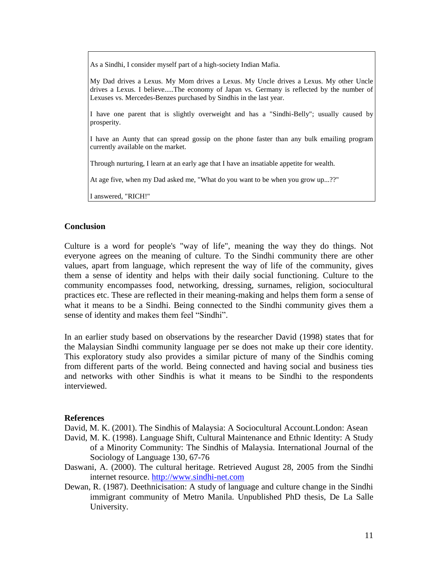As a Sindhi, I consider myself part of a high-society Indian Mafia.

My Dad drives a Lexus. My Mom drives a Lexus. My Uncle drives a Lexus. My other Uncle drives a Lexus. I believe.....The economy of Japan vs. Germany is reflected by the number of Lexuses vs. Mercedes-Benzes purchased by Sindhis in the last year.

I have one parent that is slightly overweight and has a "Sindhi-Belly"; usually caused by prosperity.

I have an Aunty that can spread gossip on the phone faster than any bulk emailing program currently available on the market.

Through nurturing, I learn at an early age that I have an insatiable appetite for wealth.

At age five, when my Dad asked me, "What do you want to be when you grow up...??"

I answered, "RICH!"

## **Conclusion**

Culture is a word for people's "way of life", meaning the way they do things. Not everyone agrees on the meaning of culture. To the Sindhi community there are other values, apart from language, which represent the way of life of the community, gives them a sense of identity and helps with their daily social functioning. Culture to the community encompasses food, networking, dressing, surnames, religion, sociocultural practices etc. These are reflected in their meaning-making and helps them form a sense of what it means to be a Sindhi. Being connected to the Sindhi community gives them a sense of identity and makes them feel "Sindhi".

In an earlier study based on observations by the researcher David (1998) states that for the Malaysian Sindhi community language per se does not make up their core identity. This exploratory study also provides a similar picture of many of the Sindhis coming from different parts of the world. Being connected and having social and business ties and networks with other Sindhis is what it means to be Sindhi to the respondents interviewed.

#### **References**

David, M. K. (2001). The Sindhis of Malaysia: A Sociocultural Account.London: Asean

- David, M. K. (1998). Language Shift, Cultural Maintenance and Ethnic Identity: A Study of a Minority Community: The Sindhis of Malaysia. International Journal of the Sociology of Language 130, 67-76
- Daswani, A. (2000). The cultural heritage. Retrieved August 28, 2005 from the Sindhi internet resource. [http://www.sindhi-net.com](http://www.sindhi-net.com/)
- Dewan, R. (1987). Deethnicisation: A study of language and culture change in the Sindhi immigrant community of Metro Manila. Unpublished PhD thesis, De La Salle University.